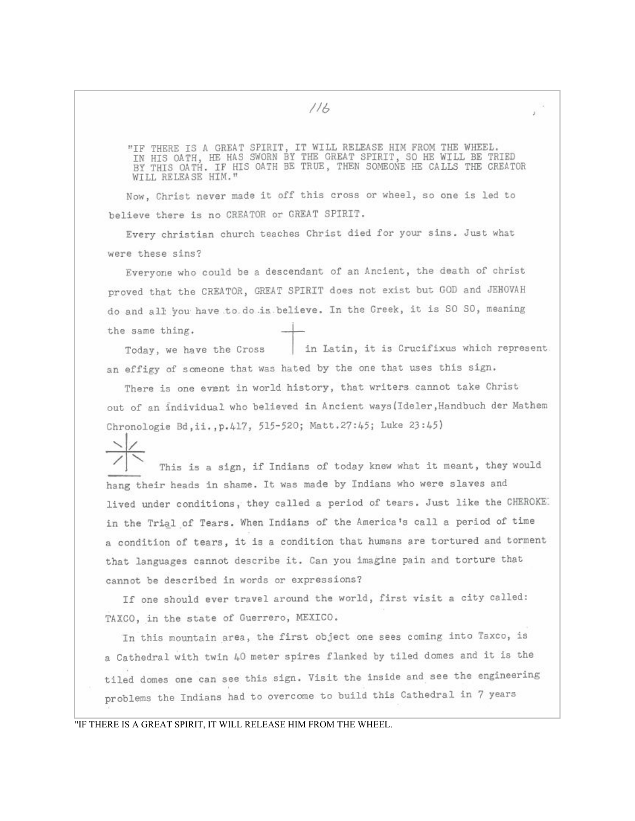$116$ 

"IF THERE IS A GREAT SPIRIT, IT WILL RELEASE HIM FROM THE WHEEL.<br>IN HIS OATH, HE HAS SWORN BY THE GREAT SPIRIT, SO HE WILL BE TRIED<br>BY THIS OATH. IF HIS OATH BE TRUE, THEN SOMEONE HE CALLS THE CREATOR WILL RELEASE HIM."

Now, Christ never made it off this cross or wheel, so one is led to believe there is no CREATOR or GREAT SPIRIT.

Every christian church teaches Christ died for your sins. Just what were these sins?

Everyone who could be a descendant of an Ancient, the death of christ proved that the CREATOR, GREAT SPIRIT does not exist but GOD and JEHOVAH do and all you have to do is believe. In the Greek, it is SO SO, meaning the same thing.

in Latin, it is Crucifixus which represent. Today, we have the Cross an effigy of someone that was hated by the one that uses this sign.

There is one event in world history, that writers cannot take Christ out of an individual who believed in Ancient ways (Ideler, Handbuch der Mathem Chronologie Bd, ii., p. 417, 515-520; Matt. 27: 45; Luke 23: 45)

This is a sign, if Indians of today knew what it meant, they would hang their heads in shame. It was made by Indians who were slaves and lived under conditions, they called a period of tears. Just like the CHEROKE. in the Trial of Tears. When Indians of the America's call a period of time a condition of tears, it is a condition that humans are tortured and torment that languages cannot describe it. Can you imagine pain and torture that cannot be described in words or expressions?

If one should ever travel around the world, first visit a city called: TAXCO, in the state of Guerrero, MEXICO.

In this mountain area, the first object one sees coming into Taxco, is a Cathedral with twin 40 meter spires flanked by tiled domes and it is the tiled domes one can see this sign. Visit the inside and see the engineering problems the Indians had to overcome to build this Cathedral in 7 years

"IF THERE IS A GREAT SPIRIT, IT WILL RELEASE HIM FROM THE WHEEL.